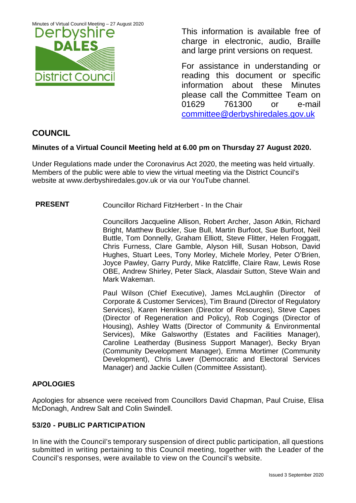Minutes of Virtual Council Meeting – 27 August 2020



This information is available free of charge in electronic, audio, Braille and large print versions on request.

For assistance in understanding or reading this document or specific information about these Minutes please call the Committee Team on 01629 761300 or e-mail [committee@derbyshiredales.gov.uk](mailto:brian.evans@derbyshiredales.gov.uk) 

# **COUNCIL**

# **Minutes of a Virtual Council Meeting held at 6.00 pm on Thursday 27 August 2020.**

Under Regulations made under the Coronavirus Act 2020, the meeting was held virtually. Members of the public were able to view the virtual meeting via the District Council's website at [www.derbyshiredales.gov.uk](http://www.derbyshiredales.gov.uk/) or via our YouTube channel.

**PRESENT** Councillor Richard FitzHerbert - In the Chair

Councillors Jacqueline Allison, Robert Archer, Jason Atkin, Richard Bright, Matthew Buckler, Sue Bull, Martin Burfoot, Sue Burfoot, Neil Buttle, Tom Donnelly, Graham Elliott, Steve Flitter, Helen Froggatt, Chris Furness, Clare Gamble, Alyson Hill, Susan Hobson, David Hughes, Stuart Lees, Tony Morley, Michele Morley, Peter O'Brien, Joyce Pawley, Garry Purdy, Mike Ratcliffe, Claire Raw, Lewis Rose OBE, Andrew Shirley, Peter Slack, Alasdair Sutton, Steve Wain and Mark Wakeman.

Paul Wilson (Chief Executive), James McLaughlin (Director of Corporate & Customer Services), Tim Braund (Director of Regulatory Services), Karen Henriksen (Director of Resources), Steve Capes (Director of Regeneration and Policy), Rob Cogings (Director of Housing), Ashley Watts (Director of Community & Environmental Services), Mike Galsworthy (Estates and Facilities Manager), Caroline Leatherday (Business Support Manager), Becky Bryan (Community Development Manager), Emma Mortimer (Community Development), Chris Laver (Democratic and Electoral Services Manager) and Jackie Cullen (Committee Assistant).

# **APOLOGIES**

Apologies for absence were received from Councillors David Chapman, Paul Cruise, Elisa McDonagh, Andrew Salt and Colin Swindell.

# **53/20 - PUBLIC PARTICIPATION**

In line with the Council's temporary suspension of direct public participation, all questions submitted in writing pertaining to this Council meeting, together with the Leader of the Council's responses, were available to view on the Council's website.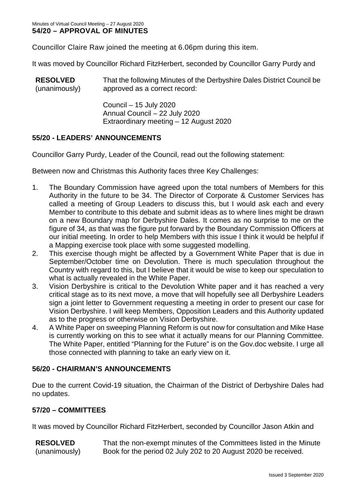Councillor Claire Raw joined the meeting at 6.06pm during this item.

It was moved by Councillor Richard FitzHerbert, seconded by Councillor Garry Purdy and

| <b>RESOLVED</b> | That the following Minutes of the Derbyshire Dales District Council be |
|-----------------|------------------------------------------------------------------------|
| (unanimously)   | approved as a correct record:                                          |

Council – 15 July 2020 Annual Council – 22 July 2020 Extraordinary meeting – 12 August 2020

# **55/20 - LEADERS' ANNOUNCEMENTS**

Councillor Garry Purdy, Leader of the Council, read out the following statement:

Between now and Christmas this Authority faces three Key Challenges:

- 1. The Boundary Commission have agreed upon the total numbers of Members for this Authority in the future to be 34. The Director of Corporate & Customer Services has called a meeting of Group Leaders to discuss this, but I would ask each and every Member to contribute to this debate and submit ideas as to where lines might be drawn on a new Boundary map for Derbyshire Dales. It comes as no surprise to me on the figure of 34, as that was the figure put forward by the Boundary Commission Officers at our initial meeting. In order to help Members with this issue I think it would be helpful if a Mapping exercise took place with some suggested modelling.
- 2. This exercise though might be affected by a Government White Paper that is due in September/October time on Devolution. There is much speculation throughout the Country with regard to this, but I believe that it would be wise to keep our speculation to what is actually revealed in the White Paper.
- 3. Vision Derbyshire is critical to the Devolution White paper and it has reached a very critical stage as to its next move, a move that will hopefully see all Derbyshire Leaders sign a joint letter to Government requesting a meeting in order to present our case for Vision Derbyshire. I will keep Members, Opposition Leaders and this Authority updated as to the progress or otherwise on Vision Derbyshire.
- 4. A White Paper on sweeping Planning Reform is out now for consultation and Mike Hase is currently working on this to see what it actually means for our Planning Committee. The White Paper, entitled "Planning for the Future" is on the Gov.doc website. I urge all those connected with planning to take an early view on it.

# **56/20 - CHAIRMAN'S ANNOUNCEMENTS**

Due to the current Covid-19 situation, the Chairman of the District of Derbyshire Dales had no updates.

# **57/20 – COMMITTEES**

It was moved by Councillor Richard FitzHerbert, seconded by Councillor Jason Atkin and

**RESOLVED** (unanimously) That the non-exempt minutes of the Committees listed in the Minute Book for the period 02 July 202 to 20 August 2020 be received.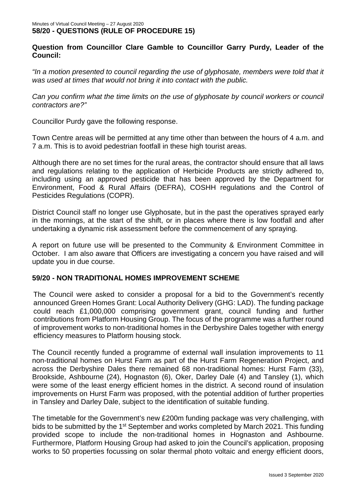# **Question from Councillor Clare Gamble to Councillor Garry Purdy, Leader of the Council:**

"In a motion presented to council regarding the use of glyphosate, members were told that it *was used at times that would not bring it into contact with the public.* 

*Can you confirm what the time limits on the use of glyphosate by council workers or council contractors are?"*

Councillor Purdy gave the following response.

Town Centre areas will be permitted at any time other than between the hours of 4 a.m. and 7 a.m. This is to avoid pedestrian footfall in these high tourist areas.

Although there are no set times for the rural areas, the contractor should ensure that all laws and regulations relating to the application of Herbicide Products are strictly adhered to, including using an approved pesticide that has been approved by the Department for Environment, Food & Rural Affairs (DEFRA), COSHH regulations and the Control of Pesticides Regulations (COPR).

District Council staff no longer use Glyphosate, but in the past the operatives sprayed early in the mornings, at the start of the shift, or in places where there is low footfall and after undertaking a dynamic risk assessment before the commencement of any spraying.

A report on future use will be presented to the Community & Environment Committee in October. I am also aware that Officers are investigating a concern you have raised and will update you in due course.

### **59/20 - NON TRADITIONAL HOMES IMPROVEMENT SCHEME**

The Council were asked to consider a proposal for a bid to the Government's recently announced Green Homes Grant: Local Authority Delivery (GHG: LAD). The funding package could reach £1,000,000 comprising government grant, council funding and further contributions from Platform Housing Group. The focus of the programme was a further round of improvement works to non-traditional homes in the Derbyshire Dales together with energy efficiency measures to Platform housing stock.

The Council recently funded a programme of external wall insulation improvements to 11 non-traditional homes on Hurst Farm as part of the Hurst Farm Regeneration Project, and across the Derbyshire Dales there remained 68 non-traditional homes: Hurst Farm (33), Brookside, Ashbourne (24), Hognaston (6), Oker, Darley Dale (4) and Tansley (1), which were some of the least energy efficient homes in the district. A second round of insulation improvements on Hurst Farm was proposed, with the potential addition of further properties in Tansley and Darley Dale, subject to the identification of suitable funding.

The timetable for the Government's new £200m funding package was very challenging, with bids to be submitted by the 1<sup>st</sup> September and works completed by March 2021. This funding provided scope to include the non-traditional homes in Hognaston and Ashbourne. Furthermore, Platform Housing Group had asked to join the Council's application, proposing works to 50 properties focussing on solar thermal photo voltaic and energy efficient doors,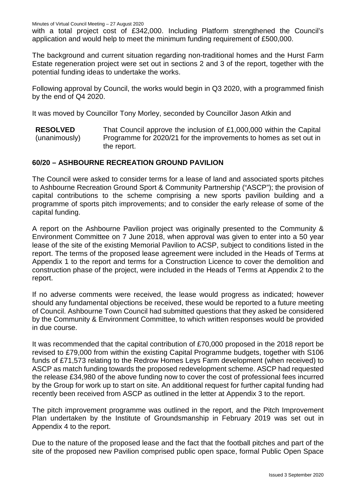with a total project cost of £342,000. Including Platform strengthened the Council's application and would help to meet the minimum funding requirement of £500,000.

The background and current situation regarding non-traditional homes and the Hurst Farm Estate regeneration project were set out in sections 2 and 3 of the report, together with the potential funding ideas to undertake the works.

Following approval by Council, the works would begin in Q3 2020, with a programmed finish by the end of Q4 2020.

It was moved by Councillor Tony Morley, seconded by Councillor Jason Atkin and

**RESOLVED** (unanimously) That Council approve the inclusion of £1,000,000 within the Capital Programme for 2020/21 for the improvements to homes as set out in the report.

### **60/20 – ASHBOURNE RECREATION GROUND PAVILION**

The Council were asked to consider terms for a lease of land and associated sports pitches to Ashbourne Recreation Ground Sport & Community Partnership ("ASCP"); the provision of capital contributions to the scheme comprising a new sports pavilion building and a programme of sports pitch improvements; and to consider the early release of some of the capital funding.

A report on the Ashbourne Pavilion project was originally presented to the Community & Environment Committee on 7 June 2018, when approval was given to enter into a 50 year lease of the site of the existing Memorial Pavilion to ACSP, subject to conditions listed in the report. The terms of the proposed lease agreement were included in the Heads of Terms at Appendix 1 to the report and terms for a Construction Licence to cover the demolition and construction phase of the project, were included in the Heads of Terms at Appendix 2 to the report.

If no adverse comments were received, the lease would progress as indicated; however should any fundamental objections be received, these would be reported to a future meeting of Council. Ashbourne Town Council had submitted questions that they asked be considered by the Community & Environment Committee, to which written responses would be provided in due course.

It was recommended that the capital contribution of £70,000 proposed in the 2018 report be revised to £79,000 from within the existing Capital Programme budgets, together with S106 funds of £71,573 relating to the Redrow Homes Leys Farm development (when received) to ASCP as match funding towards the proposed redevelopment scheme. ASCP had requested the release £34,980 of the above funding now to cover the cost of professional fees incurred by the Group for work up to start on site. An additional request for further capital funding had recently been received from ASCP as outlined in the letter at Appendix 3 to the report.

The pitch improvement programme was outlined in the report, and the Pitch Improvement Plan undertaken by the Institute of Groundsmanship in February 2019 was set out in Appendix 4 to the report.

Due to the nature of the proposed lease and the fact that the football pitches and part of the site of the proposed new Pavilion comprised public open space, formal Public Open Space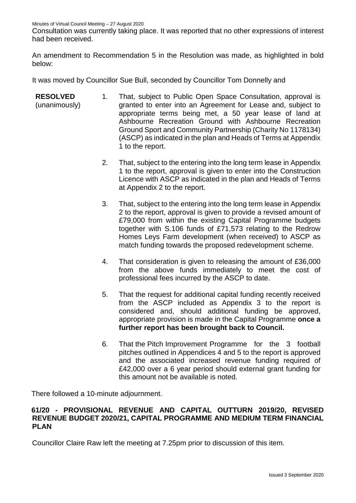Minutes of Virtual Council Meeting – 27 August 2020

Consultation was currently taking place. It was reported that no other expressions of interest had been received.

An amendment to Recommendation 5 in the Resolution was made, as highlighted in bold below:

It was moved by Councillor Sue Bull, seconded by Councillor Tom Donnelly and

- **RESOLVED** (unanimously) 1. That, subject to Public Open Space Consultation, approval is granted to enter into an Agreement for Lease and, subject to appropriate terms being met, a 50 year lease of land at Ashbourne Recreation Ground with Ashbourne Recreation Ground Sport and Community Partnership (Charity No 1178134) (ASCP) as indicated in the plan and Heads of Terms at Appendix 1 to the report.
	- 2. That, subject to the entering into the long term lease in Appendix 1 to the report, approval is given to enter into the Construction Licence with ASCP as indicated in the plan and Heads of Terms at Appendix 2 to the report.
	- 3. That, subject to the entering into the long term lease in Appendix 2 to the report, approval is given to provide a revised amount of £79,000 from within the existing Capital Programme budgets together with S.106 funds of £71,573 relating to the Redrow Homes Leys Farm development (when received) to ASCP as match funding towards the proposed redevelopment scheme.
	- 4. That consideration is given to releasing the amount of £36,000 from the above funds immediately to meet the cost of professional fees incurred by the ASCP to date.
	- 5. That the request for additional capital funding recently received from the ASCP included as Appendix 3 to the report is considered and, should additional funding be approved, appropriate provision is made in the Capital Programme **once a further report has been brought back to Council.**
	- 6. That the Pitch Improvement Programme for the 3 football pitches outlined in Appendices 4 and 5 to the report is approved and the associated increased revenue funding required of £42,000 over a 6 year period should external grant funding for this amount not be available is noted.

There followed a 10-minute adjournment.

## **61/20 - PROVISIONAL REVENUE AND CAPITAL OUTTURN 2019/20, REVISED REVENUE BUDGET 2020/21, CAPITAL PROGRAMME AND MEDIUM TERM FINANCIAL PLAN**

Councillor Claire Raw left the meeting at 7.25pm prior to discussion of this item.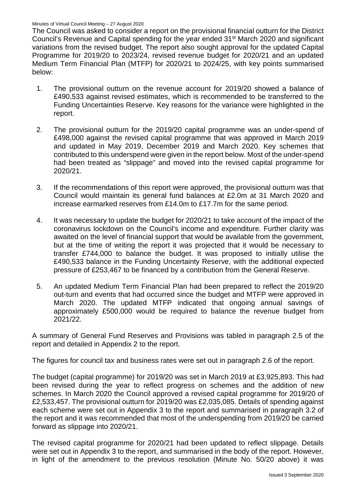The Council was asked to consider a report on the provisional financial outturn for the District Council's Revenue and Capital spending for the year ended 31<sup>st</sup> March 2020 and significant variations from the revised budget. The report also sought approval for the updated Capital Programme for 2019/20 to 2023/24, revised revenue budget for 2020/21 and an updated Medium Term Financial Plan (MTFP) for 2020/21 to 2024/25, with key points summarised below:

- 1. The provisional outturn on the revenue account for 2019/20 showed a balance of £490,533 against revised estimates, which is recommended to be transferred to the Funding Uncertainties Reserve. Key reasons for the variance were highlighted in the report.
- 2. The provisional outturn for the 2019/20 capital programme was an under-spend of £498,000 against the revised capital programme that was approved in March 2019 and updated in May 2019, December 2019 and March 2020. Key schemes that contributed to this underspend were given in the report below. Most of the under-spend had been treated as "slippage" and moved into the revised capital programme for 2020/21.
- 3. If the recommendations of this report were approved, the provisional outturn was that Council would maintain its general fund balances at £2.0m at 31 March 2020 and increase earmarked reserves from £14.0m to £17.7m for the same period.
- 4. It was necessary to update the budget for 2020/21 to take account of the impact of the coronavirus lockdown on the Council's income and expenditure. Further clarity was awaited on the level of financial support that would be available from the government, but at the time of writing the report it was projected that it would be necessary to transfer £744,000 to balance the budget. It was proposed to initially utilise the £490,533 balance in the Funding Uncertainty Reserve, with the additional expected pressure of £253,467 to be financed by a contribution from the General Reserve.
- 5. An updated Medium Term Financial Plan had been prepared to reflect the 2019/20 out-turn and events that had occurred since the budget and MTFP were approved in March 2020. The updated MTFP indicated that ongoing annual savings of approximately £500,000 would be required to balance the revenue budget from 2021/22.

A summary of General Fund Reserves and Provisions was tabled in paragraph 2.5 of the report and detailed in Appendix 2 to the report.

The figures for council tax and business rates were set out in paragraph 2.6 of the report.

The budget (capital programme) for 2019/20 was set in March 2019 at £3,925,893. This had been revised during the year to reflect progress on schemes and the addition of new schemes. In March 2020 the Council approved a revised capital programme for 2019/20 of £2,533,457. The provisional outturn for 2019/20 was £2,035,085. Details of spending against each scheme were set out in Appendix 3 to the report and summarised in paragraph 3.2 of the report and it was recommended that most of the underspending from 2019/20 be carried forward as slippage into 2020/21.

The revised capital programme for 2020/21 had been updated to reflect slippage. Details were set out in Appendix 3 to the report, and summarised in the body of the report. However, in light of the amendment to the previous resolution (Minute No. 50/20 above) it was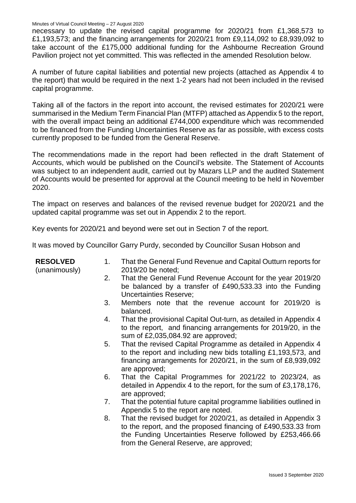Minutes of Virtual Council Meeting – 27 August 2020

necessary to update the revised capital programme for 2020/21 from £1,368,573 to £1,193,573; and the financing arrangements for 2020/21 from £9,114,092 to £8,939,092 to take account of the £175,000 additional funding for the Ashbourne Recreation Ground Pavilion project not yet committed. This was reflected in the amended Resolution below.

A number of future capital liabilities and potential new projects (attached as Appendix 4 to the report) that would be required in the next 1-2 years had not been included in the revised capital programme.

Taking all of the factors in the report into account, the revised estimates for 2020/21 were summarised in the Medium Term Financial Plan (MTFP) attached as Appendix 5 to the report, with the overall impact being an additional £744,000 expenditure which was recommended to be financed from the Funding Uncertainties Reserve as far as possible, with excess costs currently proposed to be funded from the General Reserve.

The recommendations made in the report had been reflected in the draft Statement of Accounts, which would be published on the Council's website. The Statement of Accounts was subject to an independent audit, carried out by Mazars LLP and the audited Statement of Accounts would be presented for approval at the Council meeting to be held in November 2020.

The impact on reserves and balances of the revised revenue budget for 2020/21 and the updated capital programme was set out in Appendix 2 to the report.

Key events for 2020/21 and beyond were set out in Section 7 of the report.

It was moved by Councillor Garry Purdy, seconded by Councillor Susan Hobson and

| <b>RESOLVED</b><br>(unanimously) | 1. | That the General Fund Revenue and Capital Outturn reports for<br>2019/20 be noted;                                                                                                                                                      |
|----------------------------------|----|-----------------------------------------------------------------------------------------------------------------------------------------------------------------------------------------------------------------------------------------|
|                                  | 2. | That the General Fund Revenue Account for the year 2019/20<br>be balanced by a transfer of £490,533.33 into the Funding<br><b>Uncertainties Reserve;</b>                                                                                |
|                                  | 3. | Members note that the revenue account for 2019/20 is<br>balanced.                                                                                                                                                                       |
|                                  | 4. | That the provisional Capital Out-turn, as detailed in Appendix 4<br>to the report, and financing arrangements for 2019/20, in the<br>sum of £2,035,084.92 are approved;                                                                 |
|                                  | 5. | That the revised Capital Programme as detailed in Appendix 4<br>to the report and including new bids totalling £1,193,573, and<br>financing arrangements for $2020/21$ , in the sum of £8,939,092<br>are approved;                      |
|                                  | 6. | That the Capital Programmes for 2021/22 to 2023/24, as<br>detailed in Appendix 4 to the report, for the sum of £3,178,176,<br>are approved;                                                                                             |
|                                  | 7. | That the potential future capital programme liabilities outlined in<br>Appendix 5 to the report are noted.                                                                                                                              |
|                                  | 8. | That the revised budget for 2020/21, as detailed in Appendix 3<br>to the report, and the proposed financing of £490,533.33 from<br>the Funding Uncertainties Reserve followed by £253,466.66<br>from the General Reserve, are approved; |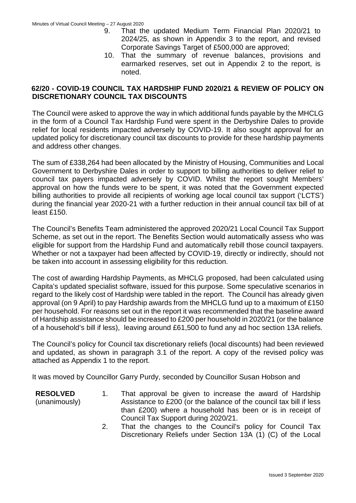- 9. That the updated Medium Term Financial Plan 2020/21 to 2024/25, as shown in Appendix 3 to the report, and revised Corporate Savings Target of £500,000 are approved;
- 10. That the summary of revenue balances, provisions and earmarked reserves, set out in Appendix 2 to the report, is noted.

# **62/20 - COVID-19 COUNCIL TAX HARDSHIP FUND 2020/21 & REVIEW OF POLICY ON DISCRETIONARY COUNCIL TAX DISCOUNTS**

The Council were asked to approve the way in which additional funds payable by the MHCLG in the form of a Council Tax Hardship Fund were spent in the Derbyshire Dales to provide relief for local residents impacted adversely by COVID-19. It also sought approval for an updated policy for discretionary council tax discounts to provide for these hardship payments and address other changes.

The sum of £338,264 had been allocated by the Ministry of Housing, Communities and Local Government to Derbyshire Dales in order to support to billing authorities to deliver relief to council tax payers impacted adversely by COVID. Whilst the report sought Members' approval on how the funds were to be spent, it was noted that the Government expected billing authorities to provide all recipients of working age local council tax support ('LCTS') during the financial year 2020-21 with a further reduction in their annual council tax bill of at least £150.

The Council's Benefits Team administered the approved 2020/21 Local Council Tax Support Scheme, as set out in the report. The Benefits Section would automatically assess who was eligible for support from the Hardship Fund and automatically rebill those council taxpayers. Whether or not a taxpayer had been affected by COVID-19, directly or indirectly, should not be taken into account in assessing eligibility for this reduction.

The cost of awarding Hardship Payments, as MHCLG proposed, had been calculated using Capita's updated specialist software, issued for this purpose. Some speculative scenarios in regard to the likely cost of Hardship were tabled in the report. The Council has already given approval (on 9 April) to pay Hardship awards from the MHCLG fund up to a maximum of £150 per household. For reasons set out in the report it was recommended that the baseline award of Hardship assistance should be increased to £200 per household in 2020/21 (or the balance of a household's bill if less), leaving around £61,500 to fund any ad hoc section 13A reliefs.

The Council's policy for Council tax discretionary reliefs (local discounts) had been reviewed and updated, as shown in paragraph 3.1 of the report. A copy of the revised policy was attached as Appendix 1 to the report.

It was moved by Councillor Garry Purdy, seconded by Councillor Susan Hobson and

- **RESOLVED** (unanimously) 1. That approval be given to increase the award of Hardship Assistance to £200 (or the balance of the council tax bill if less than £200) where a household has been or is in receipt of Council Tax Support during 2020/21.
	- 2. That the changes to the Council's policy for Council Tax Discretionary Reliefs under Section 13A (1) (C) of the Local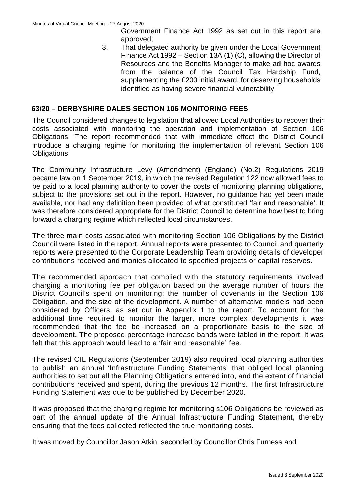Government Finance Act 1992 as set out in this report are approved;

3. That delegated authority be given under the Local Government Finance Act 1992 – Section 13A (1) (C), allowing the Director of Resources and the Benefits Manager to make ad hoc awards from the balance of the Council Tax Hardship Fund, supplementing the £200 initial award, for deserving households identified as having severe financial vulnerability.

# **63/20 – DERBYSHIRE DALES SECTION 106 MONITORING FEES**

The Council considered changes to legislation that allowed Local Authorities to recover their costs associated with monitoring the operation and implementation of Section 106 Obligations. The report recommended that with immediate effect the District Council introduce a charging regime for monitoring the implementation of relevant Section 106 Obligations.

The Community Infrastructure Levy (Amendment) (England) (No.2) Regulations 2019 became law on 1 September 2019, in which the revised Regulation 122 now allowed fees to be paid to a local planning authority to cover the costs of monitoring planning obligations, subject to the provisions set out in the report. However, no guidance had yet been made available, nor had any definition been provided of what constituted 'fair and reasonable'. It was therefore considered appropriate for the District Council to determine how best to bring forward a charging regime which reflected local circumstances.

The three main costs associated with monitoring Section 106 Obligations by the District Council were listed in the report. Annual reports were presented to Council and quarterly reports were presented to the Corporate Leadership Team providing details of developer contributions received and monies allocated to specified projects or capital reserves.

The recommended approach that complied with the statutory requirements involved charging a monitoring fee per obligation based on the average number of hours the District Council's spent on monitoring; the number of covenants in the Section 106 Obligation, and the size of the development. A number of alternative models had been considered by Officers, as set out in Appendix 1 to the report. To account for the additional time required to monitor the larger, more complex developments it was recommended that the fee be increased on a proportionate basis to the size of development. The proposed percentage increase bands were tabled in the report. It was felt that this approach would lead to a 'fair and reasonable' fee.

The revised CIL Regulations (September 2019) also required local planning authorities to publish an annual 'Infrastructure Funding Statements' that obliged local planning authorities to set out all the Planning Obligations entered into, and the extent of financial contributions received and spent, during the previous 12 months. The first Infrastructure Funding Statement was due to be published by December 2020.

It was proposed that the charging regime for monitoring s106 Obligations be reviewed as part of the annual update of the Annual Infrastructure Funding Statement, thereby ensuring that the fees collected reflected the true monitoring costs.

It was moved by Councillor Jason Atkin, seconded by Councillor Chris Furness and